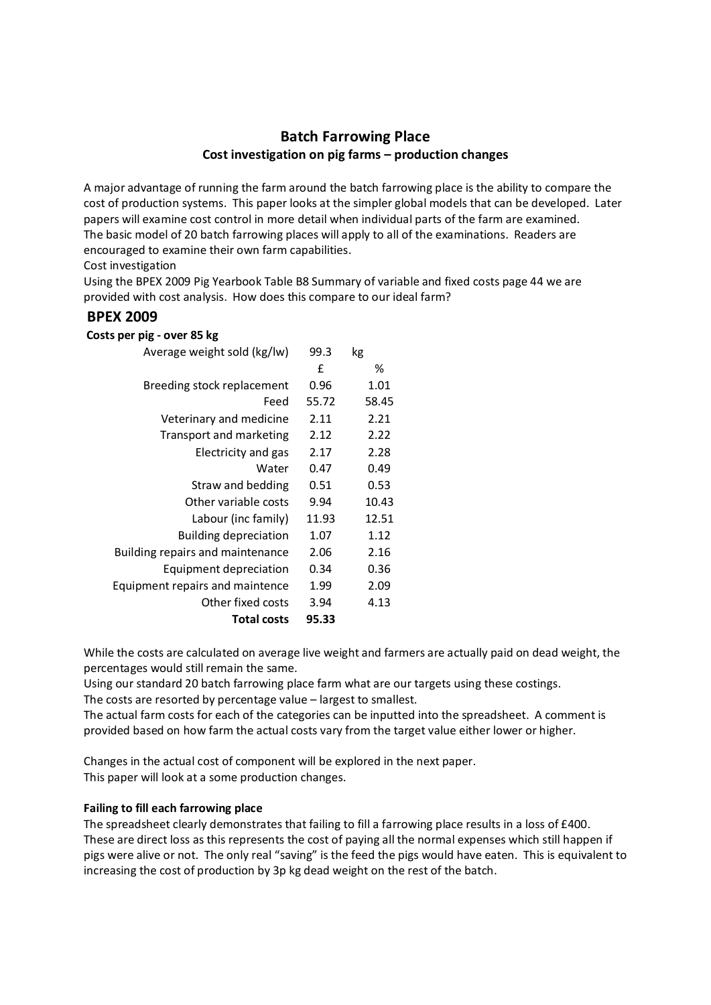# **Batch Farrowing Place Cost investigation on pig farms – production changes**

A major advantage of running the farm around the batch farrowing place is the ability to compare the cost of production systems. This paper looks at the simpler global models that can be developed. Later papers will examine cost control in more detail when individual parts of the farm are examined. The basic model of 20 batch farrowing places will apply to all of the examinations. Readers are encouraged to examine their own farm capabilities.

# Cost investigation

Using the BPEX 2009 Pig Yearbook Table B8 Summary of variable and fixed costs page 44 we are provided with cost analysis. How does this compare to our ideal farm?

# **BPEX 2009**

#### **Costs per pig - over 85 kg**

| Average weight sold (kg/lw)            | 99.3  | kg    |
|----------------------------------------|-------|-------|
|                                        | f     | ℅     |
| Breeding stock replacement             | 0.96  | 1.01  |
| Feed                                   | 55.72 | 58.45 |
| Veterinary and medicine                | 2.11  | 2.21  |
| Transport and marketing                | 2.12  | 2.22  |
| Electricity and gas                    | 2.17  | 2.28  |
| Water                                  | 0.47  | 0.49  |
| Straw and bedding                      | 0.51  | 0.53  |
| Other variable costs                   | 9.94  | 10.43 |
| Labour (inc family)                    | 11.93 | 12.51 |
| <b>Building depreciation</b>           | 1.07  | 1.12  |
| Building repairs and maintenance       | 2.06  | 2.16  |
| Equipment depreciation                 | 0.34  | 0.36  |
| <b>Equipment repairs and maintence</b> | 1.99  | 2.09  |
| Other fixed costs                      | 3.94  | 4.13  |
| <b>Total costs</b>                     | 95.33 |       |
|                                        |       |       |

While the costs are calculated on average live weight and farmers are actually paid on dead weight, the percentages would still remain the same.

Using our standard 20 batch farrowing place farm what are our targets using these costings.

The costs are resorted by percentage value – largest to smallest.

The actual farm costs for each of the categories can be inputted into the spreadsheet. A comment is provided based on how farm the actual costs vary from the target value either lower or higher.

Changes in the actual cost of component will be explored in the next paper. This paper will look at a some production changes.

## **Failing to fill each farrowing place**

The spreadsheet clearly demonstrates that failing to fill a farrowing place results in a loss of £400. These are direct loss as this represents the cost of paying all the normal expenses which still happen if pigs were alive or not. The only real "saving" is the feed the pigs would have eaten. This is equivalent to increasing the cost of production by 3p kg dead weight on the rest of the batch.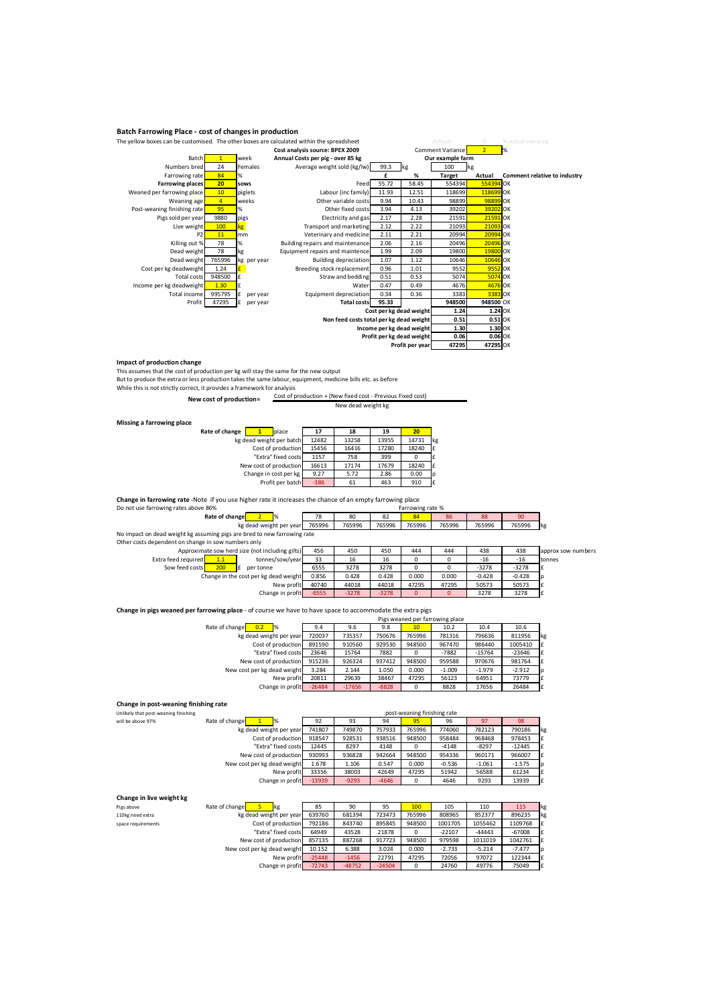#### **Batch Farrowing Place - cost of changes in production**

| The yellow boxes can be customised. The other boxes are calculated within the spreadsheet |                |                 | default                                 |       | % actual variance         |                  |                |                              |
|-------------------------------------------------------------------------------------------|----------------|-----------------|-----------------------------------------|-------|---------------------------|------------------|----------------|------------------------------|
| Cost analysis source: BPEX 2009                                                           |                |                 |                                         |       |                           | Comment Variance | $\overline{2}$ | $\mathbb{R}$                 |
| Batch                                                                                     | $\mathbf{1}$   | week            | Annual Costs per pig - over 85 kg       |       |                           | Our example farm |                |                              |
| Numbers bred                                                                              | 24             | Females         | Average weight sold (kg/lw)             | 99.3  | kg                        | 100              | kg             |                              |
| Farrowing rate                                                                            | 84             | %               |                                         |       | %                         | <b>Target</b>    | Actual         | Comment relative to industry |
| <b>Farrowing places</b>                                                                   | 20             | sows            | Feed                                    | 55.72 | 58.45                     | 554394           | 554394 OK      |                              |
| Weaned per farrowing place                                                                | 10             | piglets         | Labour (inc family)                     | 11.93 | 12.51                     | 118699           | 118699 OK      |                              |
| Weaning age                                                                               | $\overline{4}$ | weeks           | Other variable costs                    | 9.94  | 10.43                     | 98899            | 98899 OK       |                              |
| Post-weaning finishing rate                                                               | 95             | %               | Other fixed costs                       | 3.94  | 4.13                      | 39202            | 39202 OK       |                              |
| Pigs sold per year                                                                        | 9880           | pigs            | Electricity and gas                     | 2.17  | 2.28                      | 21591            | 21591 OK       |                              |
| Live weight                                                                               | 100            | kg <sub>1</sub> | Transport and marketing                 | 2.12  | 2.22                      | 21093            | 21093 OK       |                              |
| P <sub>2</sub>                                                                            | 11             | mm              | Veterinary and medicine                 | 2.11  | 2.21                      | 20994            | 20994 OK       |                              |
| Killing out %                                                                             | 78             | %               | Building repairs and maintenance        | 2.06  | 2.16                      | 20496            | 20496 OK       |                              |
| Dead weight                                                                               | 78             | kg              | Equipment repairs and maintence         | 1.99  | 2.09                      | 19800            | 19800 OK       |                              |
| Dead weight                                                                               | 765996         | kg per year     | Building depreciation                   | 1.07  | 1.12                      | 10646            | 10646 OK       |                              |
| Cost per kg deadweight                                                                    | 1.24           |                 | Breeding stock replacement              | 0.96  | 1.01                      | 9552             | 9552 OK        |                              |
| Total costs                                                                               | 948500         |                 | Straw and bedding                       | 0.51  | 0.53                      | 5074             | <b>5074 OK</b> |                              |
| Income per kg deadweight                                                                  | 1.30           | £               | Water                                   | 0.47  | 0.49                      | 4676             | 4676 OK        |                              |
| Total income                                                                              | 995795         | £<br>per year   | Equipment depreciation                  | 0.34  | 0.36                      | 3383             | 3383 OK        |                              |
| Profit                                                                                    | 47295          | per year        | <b>Total costs</b>                      | 95.33 |                           | 948500           | 948500 OK      |                              |
|                                                                                           |                |                 |                                         |       | Cost per kg dead weight   | 1.24             | 1.24 OK        |                              |
|                                                                                           |                |                 | Non feed costs total per kg dead weight |       |                           | 0.51             | 0.51 OK        |                              |
|                                                                                           |                |                 |                                         |       | Income per kg dead weight | 1.30             | $1.30$ OK      |                              |
|                                                                                           |                |                 |                                         |       | Profit per kg dead weight | 0.06             | $0.06$ OK      |                              |
|                                                                                           |                |                 |                                         |       | Profit per year           | 47295            | 47295 OK       |                              |

**Impact of production change**<br>This assumes that the cost of production per kg will stay the same for the new output<br>But to produce the extra or less production takes the same labour, equipment, medicine bills etc. as befor

While this is not strictly correct, it provides a framework for analysis

New cost of production= Cost of production + (New fixed cost - Previous Fixed cost) New dead weight kg

| Missing a farrowing place |                    |                         |
|---------------------------|--------------------|-------------------------|
|                           | Rate of change   1 | <b>b</b> lace           |
|                           |                    | kg dead weight per bato |

| ce |                          |        |       |       |       |    |
|----|--------------------------|--------|-------|-------|-------|----|
|    | Rate of change<br>place  | 17     | 18    | 19    | 20    |    |
|    | kg dead weight per batch | 12482  | 13258 | 13955 | 14731 | kg |
|    | Cost of production       | 15456  | 16416 | 17280 | 18240 | l£ |
|    | "Extra" fixed costs      | 1157   | 758   | 399   |       |    |
|    | New cost of production   | 16613  | 17174 | 17679 | 18240 | l£ |
|    | Change in cost per kg    | 9.27   | 5.72  | 2.86  | 0.00  | Ip |
|    | Profit per batch         | $-386$ | 61    | 463   | 910   | ١£ |
|    |                          |        |       |       |       |    |

**Change in farrowing rate** -Note if you use higher rate it increases the chance of an empty farrowing place

| Do not use farrowing rates above 86%                                     |        | Farrowing rate % |        |        |        |        |        |            |
|--------------------------------------------------------------------------|--------|------------------|--------|--------|--------|--------|--------|------------|
| Rate of change                                                           | 78     | 80               |        | 84     | 86     | 88     | 90     |            |
| kg dead weight per year                                                  | 765996 | 765996           | 765996 | 765996 | 765996 | 765996 | 765996 | <b>Ikg</b> |
| No impact on dead weight kg assuming pigs are bred to new farrowing rate |        |                  |        |        |        |        |        |            |

No impact on dead weight kg assuming pigs are bred to new farrowing rate Other costs dependent on change in sow numbers only

|                     |     | Approximate sow herd size (not including gilts) | 456     | 450     | 450     | 444      | 444   | 438      | 438      | approx sow numbers |
|---------------------|-----|-------------------------------------------------|---------|---------|---------|----------|-------|----------|----------|--------------------|
| Extra feed required | 1.1 | tonnes/sow/year                                 | 33      | 16      | 16      |          |       | $-16$    | $-16$    | tonnes             |
| Sow feed costs      | 200 | per tonne<br>Ι£                                 | 6555    | 3278    | 3278    |          |       | $-3278$  | $-3278$  |                    |
|                     |     | Change in the cost per kg dead weight           | 0.856   | 0.428   | 0.428   | 0.000    | 0.000 | $-0.428$ | $-0.428$ |                    |
|                     |     | New profit                                      | 40740   | 44018   | 44018   | 47295    | 47295 | 50573    | 50573    |                    |
|                     |     | Change in profit                                | $-6555$ | $-3278$ | $-3278$ | $\Omega$ |       | 3278     | 3278     |                    |
|                     |     |                                                 |         |         |         |          |       |          |          |                    |

**Change in pigs weaned per farrowing place** - of course we have to have space to accommodate the extra pigs Pigs weaned per farrowing place

| Ples wealted ber farrowing blace |                                                                                                                                                                 |         |        |          |          |          |    |  |  |
|----------------------------------|-----------------------------------------------------------------------------------------------------------------------------------------------------------------|---------|--------|----------|----------|----------|----|--|--|
| 9.4                              | 9.6                                                                                                                                                             | 9.8     | 10     | 10.2     | 10.4     | 10.6     |    |  |  |
| 720037                           | 735357                                                                                                                                                          | 750676  | 765996 | 781316   | 796636   | 811956   | kg |  |  |
| 891590                           | 910560                                                                                                                                                          | 929530  | 948500 | 967470   | 986440   | 1005410  | l£ |  |  |
| 23646                            | 15764                                                                                                                                                           | 7882    | 0      | $-7882$  | $-15764$ | $-23646$ | Ι£ |  |  |
| 915236                           | 926324                                                                                                                                                          | 937412  | 948500 | 959588   | 970676   | 981764   | Ι£ |  |  |
| 3.284                            | 2.144                                                                                                                                                           | 1.050   | 0.000  | $-1.009$ | $-1.979$ | $-2.912$ | Ip |  |  |
| 20811                            | 29639                                                                                                                                                           | 38467   | 47295  | 56123    | 64951    | 73779    | ١£ |  |  |
| $-26484$                         | $-17656$                                                                                                                                                        | $-8828$ | 0      | 8828     | 17656    | 26484    | l£ |  |  |
|                                  | kg dead weight per year<br>Cost of production<br>"Extra" fixed costs<br>New cost of production<br>New cost per kg dead weight<br>New profit<br>Change in profit |         |        |          |          |          |    |  |  |

# **Change in post-weaning finishing rate**

**Change in live weight kg**

| Critique in post-weathing infisiting rate |                                 |          |         |                             |        |          |          |          |     |
|-------------------------------------------|---------------------------------|----------|---------|-----------------------------|--------|----------|----------|----------|-----|
| Unlikely that post-weaning finishing      |                                 |          |         | post-weaning finishing rate |        |          |          |          |     |
| will be above 97%                         | Rate of change<br>$\frac{9}{6}$ | 92       | 93      | 94                          | 95     | 96       | 97       | 98       |     |
|                                           | kg dead weight per year         | 741807   | 749870  | 757933                      | 765996 | 774060   | 782123   | 790186   | lk٤ |
|                                           | Cost of production              | 918547   | 928531  | 938516                      | 948500 | 958484   | 968468   | 978453   |     |
|                                           | "Extra" fixed costs             | 12445    | 8297    | 4148                        | O      | $-4148$  | $-8297$  | $-12445$ |     |
|                                           | New cost of production          | 930993   | 936828  | 942664                      | 948500 | 954336   | 960171   | 966007   |     |
|                                           | New cost per kg dead weight     | 1.678    | 1.106   | 0.547                       | 0.000  | $-0.536$ | $-1.061$ | $-1.575$ | Ip  |
|                                           | New profit                      | 33356    | 38003   | 42649                       | 47295  | 51942    | 56588    | 61234    |     |
|                                           | Change in profit                | $-13939$ | $-9293$ | $-4646$                     | 0      | 4646     | 9293     | 13939    |     |

| CHAIRE III IN CWERTH NE |                             |          |          |          |          |          |          |          |            |
|-------------------------|-----------------------------|----------|----------|----------|----------|----------|----------|----------|------------|
| Pigs above              | Rate of change<br><b>kg</b> | 85       | 90       | 95       | 100      | 105      | 110      | 115      | <b>Ikg</b> |
| 110kg need extra        | kg dead weight per year     | 639760   | 681394   | 723473   | 765996   | 808965   | 852377   | 896235   | lk٤        |
| space requirements      | Cost of production          | 792186   | 843740   | 895845   | 948500   | 1001705  | 1055462  | 1109768  |            |
|                         | "Extra" fixed costs         | 64949    | 43528    | 21878    |          | $-22107$ | $-44443$ | $-67008$ | Ι£         |
|                         | New cost of production      | 857135   | 887268   | 917723   | 948500   | 979598   | 1011019  | 1042761  | l£         |
|                         | New cost per kg dead weight | 10.152   | 6.388    | 3.024    | 0.000    | $-2.733$ | $-5.214$ | $-7.477$ | <b>Ip</b>  |
|                         | New profit                  | $-25448$ | $-1456$  | 22791    | 47295    | 72056    | 97072    | 122344   | l£         |
|                         | Change in profit            | $-72743$ | $-48752$ | $-24504$ | $\Omega$ | 24760    | 49776    | 75049    | Ι£         |
|                         |                             |          |          |          |          |          |          |          |            |